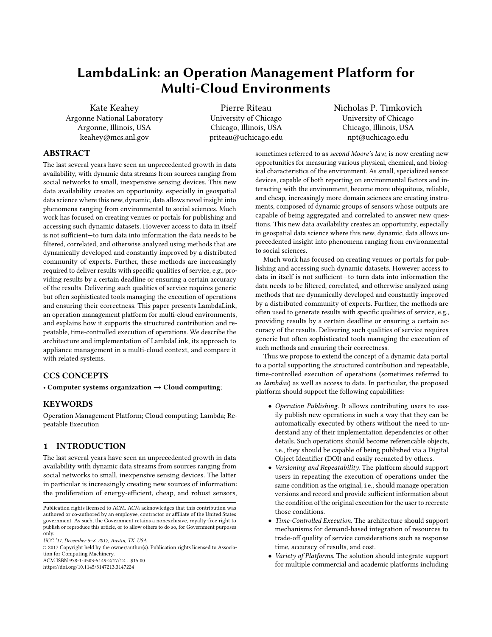# LambdaLink: an Operation Management Platform for Multi-Cloud Environments

Kate Keahey Argonne National Laboratory Argonne, Illinois, USA keahey@mcs.anl.gov

Pierre Riteau University of Chicago Chicago, Illinois, USA priteau@uchicago.edu Nicholas P. Timkovich University of Chicago Chicago, Illinois, USA npt@uchicago.edu

# ABSTRACT

The last several years have seen an unprecedented growth in data availability, with dynamic data streams from sources ranging from social networks to small, inexpensive sensing devices. This new data availability creates an opportunity, especially in geospatial data science where this new, dynamic, data allows novel insight into phenomena ranging from environmental to social sciences. Much work has focused on creating venues or portals for publishing and accessing such dynamic datasets. However access to data in itself is not sufficient—to turn data into information the data needs to be filtered, correlated, and otherwise analyzed using methods that are dynamically developed and constantly improved by a distributed community of experts. Further, these methods are increasingly required to deliver results with specific qualities of service, e.g., providing results by a certain deadline or ensuring a certain accuracy of the results. Delivering such qualities of service requires generic but often sophisticated tools managing the execution of operations and ensuring their correctness. This paper presents LambdaLink, an operation management platform for multi-cloud environments, and explains how it supports the structured contribution and repeatable, time-controlled execution of operations. We describe the architecture and implementation of LambdaLink, its approach to appliance management in a multi-cloud context, and compare it with related systems.

# CCS CONCEPTS

• Computer systems organization  $\rightarrow$  Cloud computing;

### KEYWORDS

Operation Management Platform; Cloud computing; Lambda; Repeatable Execution

## 1 INTRODUCTION

The last several years have seen an unprecedented growth in data availability with dynamic data streams from sources ranging from social networks to small, inexpensive sensing devices. The latter in particular is increasingly creating new sources of information: the proliferation of energy-efficient, cheap, and robust sensors,

© 2017 Copyright held by the owner/author(s). Publication rights licensed to Association for Computing Machinery.

ACM ISBN 978-1-4503-5149-2/17/12. . . \$15.00

<https://doi.org/10.1145/3147213.3147224>

sometimes referred to as second Moore's law, is now creating new opportunities for measuring various physical, chemical, and biological characteristics of the environment. As small, specialized sensor devices, capable of both reporting on environmental factors and interacting with the environment, become more ubiquitous, reliable, and cheap, increasingly more domain sciences are creating instruments, composed of dynamic groups of sensors whose outputs are capable of being aggregated and correlated to answer new questions. This new data availability creates an opportunity, especially in geospatial data science where this new, dynamic, data allows unprecedented insight into phenomena ranging from environmental to social sciences.

Much work has focused on creating venues or portals for publishing and accessing such dynamic datasets. However access to data in itself is not sufficient—to turn data into information the data needs to be filtered, correlated, and otherwise analyzed using methods that are dynamically developed and constantly improved by a distributed community of experts. Further, the methods are often used to generate results with specific qualities of service, e.g., providing results by a certain deadline or ensuring a certain accuracy of the results. Delivering such qualities of service requires generic but often sophisticated tools managing the execution of such methods and ensuring their correctness.

Thus we propose to extend the concept of a dynamic data portal to a portal supporting the structured contribution and repeatable, time-controlled execution of operations (sometimes referred to as lambdas) as well as access to data. In particular, the proposed platform should support the following capabilities:

- Operation Publishing. It allows contributing users to easily publish new operations in such a way that they can be automatically executed by others without the need to understand any of their implementation dependencies or other details. Such operations should become referencable objects, i.e., they should be capable of being published via a Digital Object Identifier (DOI) and easily reenacted by others.
- Versioning and Repeatability. The platform should support users in repeating the execution of operations under the same condition as the original, i.e., should manage operation versions and record and provide sufficient information about the condition of the original execution for the user to recreate those conditions.
- Time-Controlled Execution. The architecture should support mechanisms for demand-based integration of resources to trade-off quality of service considerations such as response time, accuracy of results, and cost.
- Variety of Platforms. The solution should integrate support for multiple commercial and academic platforms including

Publication rights licensed to ACM. ACM acknowledges that this contribution was authored or co-authored by an employee, contractor or affiliate of the United States government. As such, the Government retains a nonexclusive, royalty-free right to publish or reproduce this article, or to allow others to do so, for Government purposes only.

UCC '17, December 5–8, 2017, Austin, TX, USA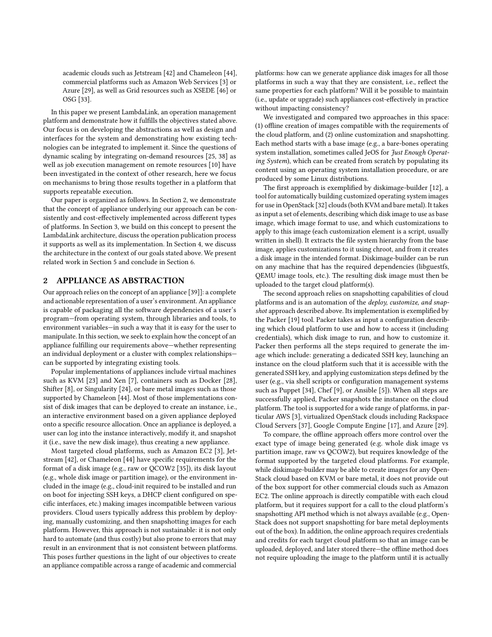academic clouds such as Jetstream [\[42\]](#page-7-0) and Chameleon [\[44\]](#page-7-1), commercial platforms such as Amazon Web Services [\[3\]](#page-6-0) or Azure [\[29\]](#page-6-1), as well as Grid resources such as XSEDE [\[46\]](#page-7-2) or OSG [\[33\]](#page-7-3).

In this paper we present LambdaLink, an operation management platform and demonstrate how it fulfills the objectives stated above. Our focus is on developing the abstractions as well as design and interfaces for the system and demonstrating how existing technologies can be integrated to implement it. Since the questions of dynamic scaling by integrating on-demand resources [\[25,](#page-6-2) [38\]](#page-7-4) as well as job execution management on remote resources [\[10\]](#page-6-3) have been investigated in the context of other research, here we focus on mechanisms to bring those results together in a platform that supports repeatable execution.

Our paper is organized as follows. In Section [2,](#page-1-0) we demonstrate that the concept of appliance underlying our approach can be consistently and cost-effectively implemented across different types of platforms. In Section [3,](#page-2-0) we build on this concept to present the LambdaLink architecture, discuss the operation publication process it supports as well as its implementation. In Section [4,](#page-4-0) we discuss the architecture in the context of our goals stated above. We present related work in Section [5](#page-5-0) and conclude in Section [6.](#page-6-4)

# <span id="page-1-0"></span>2 APPLIANCE AS ABSTRACTION

Our approach relies on the concept of an appliance [\[39\]](#page-7-5)]: a complete and actionable representation of a user's environment. An appliance is capable of packaging all the software dependencies of a user's program—from operating system, through libraries and tools, to environment variables—in such a way that it is easy for the user to manipulate. In this section, we seek to explain how the concept of an appliance fulfilling our requirements above—whether representing an individual deployment or a cluster with complex relationships can be supported by integrating existing tools.

Popular implementations of appliances include virtual machines such as KVM [\[23\]](#page-6-5) and Xen [\[7\]](#page-6-6), containers such as Docker [\[28\]](#page-6-7), Shifter [\[8\]](#page-6-8), or Singularity [\[24\]](#page-6-9), or bare metal images such as those supported by Chameleon [\[44\]](#page-7-1). Most of those implementations consist of disk images that can be deployed to create an instance, i.e., an interactive environment based on a given appliance deployed onto a specific resource allocation. Once an appliance is deployed, a user can log into the instance interactively, modify it, and snapshot it (i.e., save the new disk image), thus creating a new appliance.

Most targeted cloud platforms, such as Amazon EC2 [\[3\]](#page-6-0), Jetstream [\[42\]](#page-7-0), or Chameleon [\[44\]](#page-7-1) have specific requirements for the format of a disk image (e.g., raw or QCOW2 [\[35\]](#page-7-6)), its disk layout (e.g., whole disk image or partition image), or the environment included in the image (e.g., cloud-init required to be installed and run on boot for injecting SSH keys, a DHCP client configured on specific interfaces, etc.) making images incompatible between various providers. Cloud users typically address this problem by deploying, manually customizing, and then snapshotting images for each platform. However, this approach is not sustainable: it is not only hard to automate (and thus costly) but also prone to errors that may result in an environment that is not consistent between platforms. This poses further questions in the light of our objectives to create an appliance compatible across a range of academic and commercial

platforms: how can we generate appliance disk images for all those platforms in such a way that they are consistent, i.e., reflect the same properties for each platform? Will it be possible to maintain (i.e., update or upgrade) such appliances cost-effectively in practice without impacting consistency?

We investigated and compared two approaches in this space: (1) offline creation of images compatible with the requirements of the cloud platform, and (2) online customization and snapshotting. Each method starts with a base image (e.g., a bare-bones operating system installation, sometimes called JeOS for Just Enough Operating System), which can be created from scratch by populating its content using an operating system installation procedure, or are produced by some Linux distributions.

The first approach is exemplified by diskimage-builder [\[12\]](#page-6-10), a tool for automatically building customized operating system images for use in OpenStack [\[32\]](#page-7-7) clouds (both KVM and bare metal). It takes as input a set of elements, describing which disk image to use as base image, which image format to use, and which customizations to apply to this image (each customization element is a script, usually written in shell). It extracts the file system hierarchy from the base image, applies customizations to it using chroot, and from it creates a disk image in the intended format. Diskimage-builder can be run on any machine that has the required dependencies (libguestfs, QEMU image tools, etc.). The resulting disk image must then be uploaded to the target cloud platform(s).

The second approach relies on snapshotting capabilities of cloud platforms and is an automation of the deploy, customize, and snapshot approach described above. Its implementation is exemplified by the Packer [\[19\]](#page-6-11) tool. Packer takes as input a configuration describing which cloud platform to use and how to access it (including credentials), which disk image to run, and how to customize it. Packer then performs all the steps required to generate the image which include: generating a dedicated SSH key, launching an instance on the cloud platform such that it is accessible with the generated SSH key, and applying customization steps defined by the user (e.g., via shell scripts or configuration management systems such as Puppet [\[34\]](#page-7-8), Chef [\[9\]](#page-6-12), or Ansible [\[5\]](#page-6-13)). When all steps are successfully applied, Packer snapshots the instance on the cloud platform. The tool is supported for a wide range of platforms, in particular AWS [\[3\]](#page-6-0), virtualized OpenStack clouds including Rackspace Cloud Servers [\[37\]](#page-7-9), Google Compute Engine [\[17\]](#page-6-14), and Azure [\[29\]](#page-6-1).

To compare, the offline approach offers more control over the exact type of image being generated (e.g. whole disk image vs partition image, raw vs QCOW2), but requires knowledge of the format supported by the targeted cloud platforms. For example, while diskimage-builder may be able to create images for any Open-Stack cloud based on KVM or bare metal, it does not provide out of the box support for other commercial clouds such as Amazon EC2. The online approach is directly compatible with each cloud platform, but it requires support for a call to the cloud platform's snapshotting API method which is not always available (e.g., Open-Stack does not support snapshotting for bare metal deployments out of the box). In addition, the online approach requires credentials and credits for each target cloud platform so that an image can be uploaded, deployed, and later stored there—the offline method does not require uploading the image to the platform until it is actually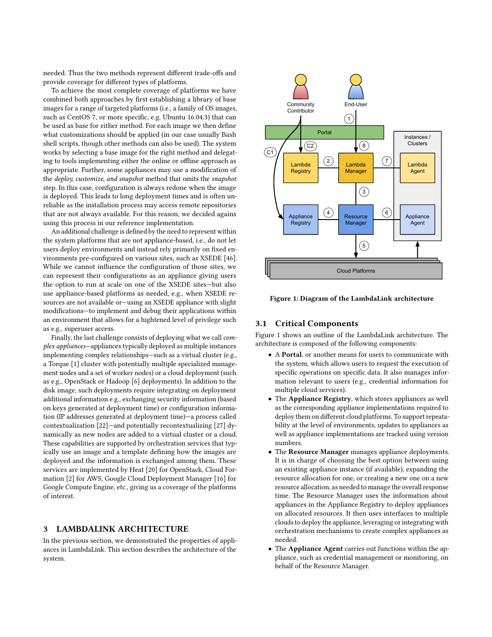needed. Thus the two methods represent different trade-offs and provide coverage for different types of platforms.

To achieve the most complete coverage of platforms we have combined both approaches by first establishing a library of base images for a range of targeted platforms (i.e., a family of OS images, such as CentOS 7, or more specific, e.g. Ubuntu 16.04.3) that can be used as base for either method. For each image we then define what customizations should be applied (in our case usually Bash shell scripts, though other methods can also be used). The system works by selecting a base image for the right method and delegating to tools implementing either the online or offline approach as appropriate. Further, some appliances may use a modification of the deploy, customize, and snapshot method that omits the snapshot step. In this case, configuration is always redone when the image is deployed. This leads to long deployment times and is often unreliable as the installation process may access remote repositories that are not always available. For this reason, we decided agains using this process in our reference implementation.

An additional challenge is defined by the need to represent within the system platforms that are not appliance-based, i.e., do not let users deploy environments and instead rely primarily on fixed environments pre-configured on various sites, such as XSEDE [\[46\]](#page-7-2). While we cannot influence the configuration of those sites, we can represent their configurations as an appliance giving users the option to run at scale on one of the XSEDE sites—but also use appliance-based platforms as needed, e.g., when XSEDE resources are not available or—using an XSEDE appliance with slight modifications—to implement and debug their applications within an environment that allows for a hightened level of privilege such as e.g., superuser access.

Finally, the last challenge consists of deploying what we call complex appliances—appliances typically deployed as multiple instances implementing complex relationships—such as a virtual cluster (e.g., a Torque [\[1\]](#page-6-15) cluster with potentially multiple specialized management nodes and a set of worker nodes) or a cloud deployment (such as e.g., OpenStack or Hadoop [\[6\]](#page-6-16) deployments). In addition to the disk image, such deployments require integrating on deployment additional information e.g., exchanging security information (based on keys generated at deployment time) or configuration information (IP addresses generated at deployment time)—a process called contextualization [\[22\]](#page-6-17)—and potentially recontextualizing [\[27\]](#page-6-18) dynamically as new nodes are added to a virtual cluster or a cloud. These capabilities are supported by orchestration services that typically use an image and a template defining how the images are deployed and the information is exchanged among them. These services are implemented by Heat [\[20\]](#page-6-19) for OpenStack, Cloud Formation [\[2\]](#page-6-20) for AWS, Google Cloud Deployment Manager [\[16\]](#page-6-21) for Google Compute Engine, etc., giving us a coverage of the platforms of interest.

#### <span id="page-2-0"></span>3 LAMBDALINK ARCHITECTURE

In the previous section, we demonstrated the properties of appliances in LambdaLink. This section describes the architecture of the system.

<span id="page-2-1"></span>

Figure 1: Diagram of the LambdaLink architecture

# 3.1 Critical Components

Figure [1](#page-2-1) shows an outline of the LambdaLink architecture. The architecture is composed of the following components:

- A Portal, or another means for users to communicate with the system, which allows users to request the execution of specific operations on specific data. It also manages information relevant to users (e.g., credential information for multiple cloud services).
- The Appliance Registry, which stores appliances as well as the corresponding appliance implementations required to deploy them on different cloud platforms. To support repeatability at the level of environments, updates to appliances as well as appliance implementations are tracked using version numbers.
- The Resource Manager manages appliance deployments. It is in charge of choosing the best option between using an existing appliance instance (if available), expanding the resource allocation for one, or creating a new one on a new resource allocation, as needed to manage the overall response time. The Resource Manager uses the information about appliances in the Appliance Registry to deploy appliances on allocated resources. It then uses interfaces to multiple clouds to deploy the appliance, leveraging or integrating with orchestration mechanisms to create complex appliances as needed.
- The Appliance Agent carries out functions within the appliance, such as credential management or monitoring, on behalf of the Resource Manager.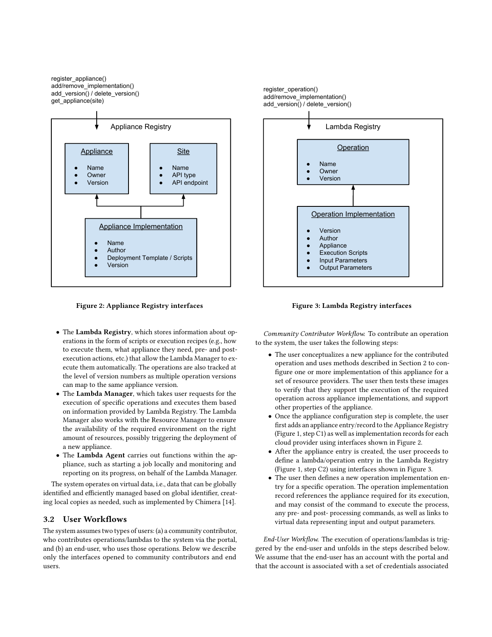<span id="page-3-0"></span>register\_appliance() add/remove\_implementation() add\_version() / delete\_version() get\_appliance(site)



Figure 2: Appliance Registry interfaces

- The Lambda Registry, which stores information about operations in the form of scripts or execution recipes (e.g., how to execute them, what appliance they need, pre- and postexecution actions, etc.) that allow the Lambda Manager to execute them automatically. The operations are also tracked at the level of version numbers as multiple operation versions can map to the same appliance version.
- The Lambda Manager, which takes user requests for the execution of specific operations and executes them based on information provided by Lambda Registry. The Lambda Manager also works with the Resource Manager to ensure the availability of the required environment on the right amount of resources, possibly triggering the deployment of a new appliance.
- The Lambda Agent carries out functions within the appliance, such as starting a job locally and monitoring and reporting on its progress, on behalf of the Lambda Manager.

The system operates on virtual data, i.e., data that can be globally identified and efficiently managed based on global identifier, creating local copies as needed, such as implemented by Chimera [\[14\]](#page-6-22).

# <span id="page-3-2"></span>3.2 User Workflows

The system assumes two types of users: (a) a community contributor, who contributes operations/lambdas to the system via the portal, and (b) an end-user, who uses those operations. Below we describe only the interfaces opened to community contributors and end users.

<span id="page-3-1"></span>register\_operation() add/remove\_implementation() add\_version() / delete\_version()



Figure 3: Lambda Registry interfaces

Community Contributor Workflow. To contribute an operation to the system, the user takes the following steps:

- The user conceptualizes a new appliance for the contributed operation and uses methods described in Section [2](#page-1-0) to configure one or more implementation of this appliance for a set of resource providers. The user then tests these images to verify that they support the execution of the required operation across appliance implementations, and support other properties of the appliance.
- Once the appliance configuration step is complete, the user first adds an appliance entry/record to the Appliance Registry (Figure [1,](#page-2-1) step C1) as well as implementation records for each cloud provider using interfaces shown in Figure [2.](#page-3-0)
- After the appliance entry is created, the user proceeds to define a lambda/operation entry in the Lambda Registry (Figure [1,](#page-2-1) step C2) using interfaces shown in Figure [3.](#page-3-1)
- The user then defines a new operation implementation entry for a specific operation. The operation implementation record references the appliance required for its execution, and may consist of the command to execute the process, any pre- and post- processing commands, as well as links to virtual data representing input and output parameters.

End-User Workflow. The execution of operations/lambdas is triggered by the end-user and unfolds in the steps described below. We assume that the end-user has an account with the portal and that the account is associated with a set of credentials associated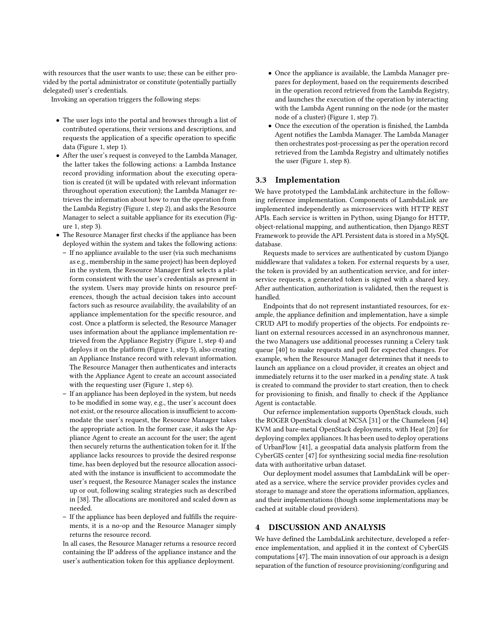with resources that the user wants to use; these can be either provided by the portal administrator or constitute (potentially partially delegated) user's credentials.

Invoking an operation triggers the following steps:

- The user logs into the portal and browses through a list of contributed operations, their versions and descriptions, and requests the application of a specific operation to specific data (Figure [1,](#page-2-1) step 1).
- After the user's request is conveyed to the Lambda Manager, the latter takes the following actions: a Lambda Instance record providing information about the executing operation is created (it will be updated with relevant information throughout operation execution); the Lambda Manager retrieves the information about how to run the operation from the Lambda Registry (Figure [1,](#page-2-1) step 2), and asks the Resource Manager to select a suitable appliance for its execution (Figure [1,](#page-2-1) step 3).
- The Resource Manager first checks if the appliance has been deployed within the system and takes the following actions:
	- If no appliance available to the user (via such mechanisms as e.g., membership in the same project) has been deployed in the system, the Resource Manager first selects a platform consistent with the user's credentials as present in the system. Users may provide hints on resource preferences, though the actual decision takes into account factors such as resource availability, the availability of an appliance implementation for the specific resource, and cost. Once a platform is selected, the Resource Manager uses information about the appliance implementation retrieved from the Appliance Registry (Figure [1,](#page-2-1) step 4) and deploys it on the platform (Figure [1,](#page-2-1) step 5), also creating an Appliance Instance record with relevant information. The Resource Manager then authenticates and interacts with the Appliance Agent to create an account associated with the requesting user (Figure [1,](#page-2-1) step 6).
	- If an appliance has been deployed in the system, but needs to be modified in some way, e.g., the user's account does not exist, or the resource allocation is insufficient to accommodate the user's request, the Resource Manager takes the appropriate action. In the former case, it asks the Appliance Agent to create an account for the user; the agent then securely returns the authentication token for it. If the appliance lacks resources to provide the desired response time, has been deployed but the resource allocation associated with the instance is insufficient to accommodate the user's request, the Resource Manager scales the instance up or out, following scaling strategies such as described in [\[38\]](#page-7-4). The allocations are monitored and scaled down as needed.
	- If the appliance has been deployed and fulfills the requirements, it is a no-op and the Resource Manager simply returns the resource record.

In all cases, the Resource Manager returns a resource record containing the IP address of the appliance instance and the user's authentication token for this appliance deployment.

- Once the appliance is available, the Lambda Manager prepares for deployment, based on the requirements described in the operation record retrieved from the Lambda Registry, and launches the execution of the operation by interacting with the Lambda Agent running on the node (or the master node of a cluster) (Figure [1,](#page-2-1) step 7).
- Once the execution of the operation is finished, the Lambda Agent notifies the Lambda Manager. The Lambda Manager then orchestrates post-processing as per the operation record retrieved from the Lambda Registry and ultimately notifies the user (Figure [1,](#page-2-1) step 8).

#### 3.3 Implementation

We have prototyped the LambdaLink architecture in the following reference implementation. Components of LambdaLink are implemented independently as microservices with HTTP REST APIs. Each service is written in Python, using Django for HTTP, object-relational mapping, and authentication, then Django REST Framework to provide the API. Persistent data is stored in a MySQL database.

Requests made to services are authenticated by custom Django middleware that validates a token. For external requests by a user, the token is provided by an authentication service, and for interservice requests, a generated token is signed with a shared key. After authentication, authorization is validated, then the request is handled.

Endpoints that do not represent instantiated resources, for example, the appliance definition and implementation, have a simple CRUD API to modify properties of the objects. For endpoints reliant on external resources accessed in an asynchronous manner, the two Managers use additional processes running a Celery task queue [\[40\]](#page-7-10) to make requests and poll for expected changes. For example, when the Resource Manager determines that it needs to launch an appliance on a cloud provider, it creates an object and immediately returns it to the user marked in a *pending* state. A task is created to command the provider to start creation, then to check for provisioning to finish, and finally to check if the Appliance Agent is contactable.

Our refernce implementation supports OpenStack clouds, such the ROGER OpenStack cloud at NCSA [\[31\]](#page-7-11) or the Chameleon [\[44\]](#page-7-1) KVM and bare-metal OpenStack deployments, with Heat [\[20\]](#page-6-19) for deploying complex appliances. It has been used to deploy operations of UrbanFlow [\[41\]](#page-7-12), a geospatial data analysis platform from the CyberGIS center [\[47\]](#page-7-13) for synthesizing social media fine-resolution data with authoritative urban dataset.

Our deployment model assumes that LambdaLink will be operated as a service, where the service provider provides cycles and storage to manage and store the operations information, appliances, and their implementations (though some implementations may be cached at suitable cloud providers).

## <span id="page-4-0"></span>4 DISCUSSION AND ANALYSIS

We have defined the LambdaLink architecture, developed a reference implementation, and applied it in the context of CyberGIS computations [\[47\]](#page-7-13). The main innovation of our approach is a design separation of the function of resource provisioning/configuring and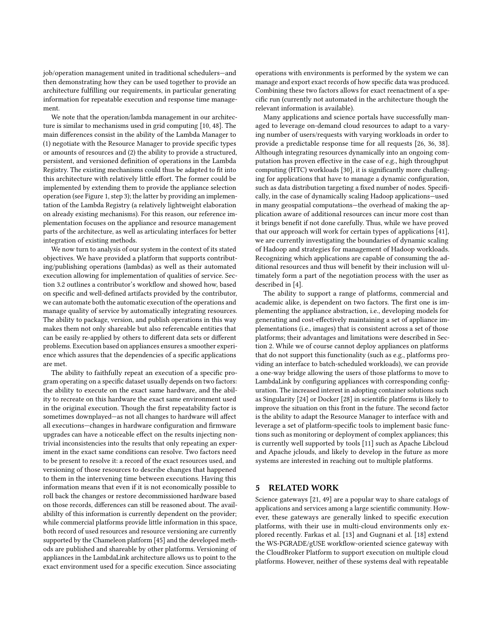job/operation management united in traditional schedulers—and then demonstrating how they can be used together to provide an architecture fulfilling our requirements, in particular generating information for repeatable execution and response time management.

We note that the operation/lambda management in our architecture is similar to mechanisms used in grid computing [\[10,](#page-6-3) [48\]](#page-7-14). The main differences consist in the ability of the Lambda Manager to (1) negotiate with the Resource Manager to provide specific types or amounts of resources and (2) the ability to provide a structured, persistent, and versioned definition of operations in the Lambda Registry. The existing mechanisms could thus be adapted to fit into this architecture with relatively little effort. The former could be implemented by extending them to provide the appliance selection operation (see Figure [1,](#page-2-1) step 3); the latter by providing an implementation of the Lambda Registry (a relatively lightweight elaboration on already existing mechanisms). For this reason, our reference implementation focuses on the appliance and resource management parts of the architecture, as well as articulating interfaces for better integration of existing methods.

We now turn to analysis of our system in the context of its stated objectives. We have provided a platform that supports contributing/publishing operations (lambdas) as well as their automated execution allowing for implementation of qualities of service. Section [3.2](#page-3-2) outlines a contributor's workflow and showed how, based on specific and well-defined artifacts provided by the contributor, we can automate both the automatic execution of the operations and manage quality of service by automatically integrating resources. The ability to package, version, and publish operations in this way makes them not only shareable but also referencable entities that can be easily re-applied by others to different data sets or different problems. Execution based on appliances ensures a smoother experience which assures that the dependencies of a specific applications are met.

The ability to faithfully repeat an execution of a specific program operating on a specific dataset usually depends on two factors: the ability to execute on the exact same hardware, and the ability to recreate on this hardware the exact same environment used in the original execution. Though the first repeatability factor is sometimes downplayed—as not all changes to hardware will affect all executions—changes in hardware configuration and firmware upgrades can have a noticeable effect on the results injecting nontrivial inconsistencies into the results that only repeating an experiment in the exact same conditions can resolve. Two factors need to be present to resolve it: a record of the exact resources used, and versioning of those resources to describe changes that happened to them in the intervening time between executions. Having this information means that even if it is not economically possible to roll back the changes or restore decommissioned hardware based on those records, differences can still be reasoned about. The availabililty of this information is currently dependent on the provider; while commercial platforms provide little information in this space, both record of used resources and resource versioning are currently supported by the Chameleon platform [\[45\]](#page-7-15) and the developed methods are published and shareable by other platforms. Versioning of appliances in the LambdaLink architecture allows us to point to the exact environment used for a specific execution. Since associating

operations with environments is performed by the system we can manage and export exact records of how specific data was produced. Combining these two factors allows for exact reenactment of a specific run (currently not automated in the architecture though the relevant information is available).

Many applications and science portals have successfully managed to leverage on-demand cloud resources to adapt to a varying number of users/requests with varying workloads in order to provide a predictable response time for all requests [\[26,](#page-6-23) [36,](#page-7-16) [38\]](#page-7-4). Although integrating resources dynamically into an ongoing computation has proven effective in the case of e.g., high throughput computing (HTC) workloads [\[30\]](#page-6-24), it is significantly more challenging for applications that have to manage a dynamic configuration, such as data distribution targeting a fixed number of nodes. Specifically, in the case of dynamically scaling Hadoop applications—used in many geospatial computations—the overhead of making the application aware of additional resources can incur more cost than it brings benefit if not done carefully. Thus, while we have proved that our approach will work for certain types of applications [\[41\]](#page-7-12), we are currently investigating the boundaries of dynamic scaling of Hadoop and strategies for management of Hadoop workloads. Recognizing which applications are capable of consuming the additional resources and thus will benefit by their inclusion will ultimately form a part of the negotiation process with the user as described in [\[4\]](#page-6-25).

The ability to support a range of platforms, commercial and academic alike, is dependent on two factors. The first one is implementing the appliance abstraction, i.e., developing models for generating and cost-effectively maintaining a set of appliance implementations (i.e., images) that is consistent across a set of those platforms; their advantages and limitations were described in Section [2.](#page-1-0) While we of course cannot deploy appliances on platforms that do not support this functionality (such as e.g., platforms providing an interface to batch-scheduled workloads), we can provide a one-way bridge allowing the users of those platforms to move to LambdaLink by configuring appliances with corresponding configuration. The increased interest in adopting container solutions such as Singularity [\[24\]](#page-6-9) or Docker [\[28\]](#page-6-7) in scientific platforms is likely to improve the situation on this front in the future. The second factor is the ability to adapt the Resource Manager to interface with and leverage a set of platform-specific tools to implement basic functions such as monitoring or deployment of complex appliances; this is currently well supported by tools [\[11\]](#page-6-26) such as Apache Libcloud and Apache jclouds, and likely to develop in the future as more systems are interested in reaching out to multiple platforms.

#### <span id="page-5-0"></span>5 RELATED WORK

Science gateways [\[21,](#page-6-27) [49\]](#page-7-17) are a popular way to share catalogs of applications and services among a large scientific community. However, these gateways are generally linked to specific execution platforms, with their use in multi-cloud environments only explored recently. Farkas et al. [\[13\]](#page-6-28) and Gugnani et al. [\[18\]](#page-6-29) extend the WS-PGRADE/gUSE workflow-oriented science gateway with the CloudBroker Platform to support execution on multiple cloud platforms. However, neither of these systems deal with repeatable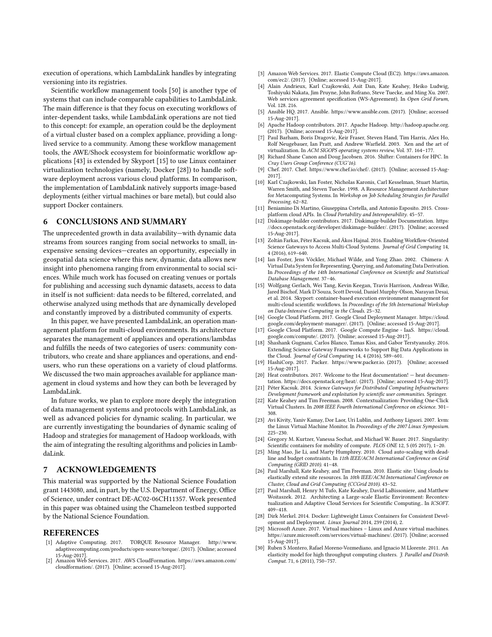execution of operations, which LambdaLink handles by integrating versioning into its registries.

Scientific workflow management tools [\[50\]](#page-7-18) is another type of systems that can include comparable capabilities to LambdaLink. The main difference is that they focus on executing workflows of inter-dependent tasks, while LambdaLink operations are not tied to this concept: for example, an operation could be the deployment of a virtual cluster based on a complex appliance, providing a longlived service to a community. Among these workflow management tools, the AWE/Shock ecosystem for bioinformatic workflow applications [\[43\]](#page-7-19) is extended by Skyport [\[15\]](#page-6-30) to use Linux container virtualization technologies (namely, Docker [\[28\]](#page-6-7)) to handle software deployment across various cloud platforms. In comparison, the implementation of LambdaLink natively supports image-based deployments (either virtual machines or bare metal), but could also support Docker containers.

# <span id="page-6-4"></span>6 CONCLUSIONS AND SUMMARY

The unprecedented growth in data availability—with dynamic data streams from sources ranging from social networks to small, inexpensive sensing devices—creates an opportunity, especially in geospatial data science where this new, dynamic, data allows new insight into phenomena ranging from environmental to social sciences. While much work has focused on creating venues or portals for publishing and accessing such dynamic datasets, access to data in itself is not sufficient: data needs to be filtered, correlated, and otherwise analyzed using methods that are dynamically developed and constantly improved by a distributed community of experts.

In this paper, we have presented LambdaLink, an operation management platform for multi-cloud environments. Its architecture separates the management of appliances and operations/lambdas and fulfills the needs of two categories of users: community contributors, who create and share appliances and operations, and endusers, who run these operations on a variety of cloud platforms. We discussed the two main approaches available for appliance management in cloud systems and how they can both be leveraged by LambdaLink.

In future works, we plan to explore more deeply the integration of data management systems and protocols with LambdaLink, as well as advanced policies for dynamic scaling. In particular, we are currently investigating the boundaries of dynamic scaling of Hadoop and strategies for management of Hadoop workloads, with the aim of integrating the resulting algorithms and policies in LambdaLink.

#### 7 ACKNOWLEDGEMENTS

This material was supported by the National Science Foudation grant 1443080, and, in part, by the U.S. Department of Energy, Office of Science, under contract DE-AC02-06CH11357. Work presented in this paper was obtained using the Chameleon testbed supported by the National Science Foundation.

#### REFERENCES

- <span id="page-6-15"></span>[1] Adaptive Computing. 2017. TORQUE Resource Manager. [http://www.](http://www.adaptivecomputing.com/products/open-source/torque/) [adaptivecomputing.com/products/open-source/torque/.](http://www.adaptivecomputing.com/products/open-source/torque/) (2017). [Online; accessed 15-Aug-2017]. [2] Amazon Web Services. 2017. AWS CloudFormation. [https://aws.amazon.com/](https://aws.amazon.com/cloudformation/)
- <span id="page-6-20"></span>[cloudformation/.](https://aws.amazon.com/cloudformation/) (2017). [Online; accessed 15-Aug-2017].
- <span id="page-6-0"></span>[3] Amazon Web Services. 2017. Elastic Compute Cloud (EC2). [https://aws.amazon.](https://aws.amazon.com/ec2/) [com/ec2/.](https://aws.amazon.com/ec2/) (2017). [Online; accessed 15-Aug-2017].
- <span id="page-6-25"></span>[4] Alain Andrieux, Karl Czajkowski, Asit Dan, Kate Keahey, Heiko Ludwig, Toshiyuki Nakata, Jim Pruyne, John Rofrano, Steve Tuecke, and Ming Xu. 2007. Web services agreement specification (WS-Agreement). In Open Grid Forum, Vol. 128. 216.
- <span id="page-6-13"></span>[5] Ansible HQ. 2017. Ansible. [https://www.ansible.com.](https://www.ansible.com) (2017). [Online; accessed 15-Aug-2017].
- <span id="page-6-16"></span>[6] Apache Hadoop contributors. 2017. Apache Hadoop. [http://hadoop.apache.org.](http://hadoop.apache.org) (2017). [Online; accessed 15-Aug-2017].
- <span id="page-6-6"></span>[7] Paul Barham, Boris Dragovic, Keir Fraser, Steven Hand, Tim Harris, Alex Ho, Rolf Neugebauer, Ian Pratt, and Andrew Warfield. 2003. Xen and the art of virtualization. In ACM SIGOPS operating systems review, Vol. 37. 164–177.
- <span id="page-6-8"></span>Richard Shane Canon and Doug Jacobsen. 2016. Shifter: Containers for HPC. In Cray Users Group Conference (CUG'16).
- <span id="page-6-12"></span>[9] Chef. 2017. Chef. [https://www.chef.io/chef/.](https://www.chef.io/chef/) (2017). [Online; accessed 15-Aug-2017].
- <span id="page-6-3"></span>[10] Karl Czajkowski, Ian Foster, Nicholas Karonis, Carl Kesselman, Stuart Martin, Warren Smith, and Steven Tuecke. 1998. A Resource Management Architecture for Metacomputing Systems. In Workshop on Job Scheduling Strategies for Parallel Processing. 62-82.
- <span id="page-6-26"></span>[11] Beniamino Di Martino, Giuseppina Cretella, and Antonio Esposito. 2015. Crossplatform cloud APIs. In Cloud Portability and Interoperability. 45–57.
- <span id="page-6-10"></span>[12] Diskimage-builder contributors. 2017. Diskimage-builder Documentation. [https:](https://docs.openstack.org/developer/diskimage-builder/) [//docs.openstack.org/developer/diskimage-builder/.](https://docs.openstack.org/developer/diskimage-builder/) (2017). [Online; accessed 15-Aug-2017].
- <span id="page-6-28"></span>[13] Zoltán Farkas, Péter Kacsuk, and Ákos Hajnal. 2016. Enabling Workflow-Oriented Science Gateways to Access Multi-Cloud Systems. Journal of Grid Computing 14, 4 (2016), 619–640.
- <span id="page-6-22"></span>[14] Ian Foster, Jens Vöckler, Michael Wilde, and Yong Zhao. 2002. Chimera: A Virtual Data System for Representing, Querying, and Automating Data Derivation. In Proceedings of the 14th International Conference on Scientific and Statistical Database Management. 37–46.
- <span id="page-6-30"></span>[15] Wolfgang Gerlach, Wei Tang, Kevin Keegan, Travis Harrison, Andreas Wilke, Jared Bischof, Mark D'Souza, Scott Devoid, Daniel Murphy-Olson, Narayan Desai, et al. 2014. Skyport: container-based execution environment management for multi-cloud scientific workflows. In Proceedings of the 5th International Workshop on Data-Intensive Computing in the Clouds. 25–32.
- <span id="page-6-21"></span>[16] Google Cloud Platform. 2017. Google Cloud Deployment Manager. [https://cloud.](https://cloud.google.com/deployment-manager/)
- <span id="page-6-14"></span>[google.com/deployment-manager/.](https://cloud.google.com/deployment-manager/) (2017). [Online; accessed 15-Aug-2017]. [17] Google Cloud Platform. 2017. Google Compute Engine - IaaS. [https://cloud.](https://cloud.google.com/compute/) [google.com/compute/.](https://cloud.google.com/compute/) (2017). [Online; accessed 15-Aug-2017].
- <span id="page-6-29"></span>[18] Shashank Gugnani, Carlos Blanco, Tamas Kiss, and Gabor Terstyanszky. 2016. Extending Science Gateway Frameworks to Support Big Data Applications in the Cloud. Journal of Grid Computing 14, 4 (2016), 589–601.
- <span id="page-6-11"></span>[19] HashiCorp. 2017. Packer. [https://www.packer.io.](https://www.packer.io) (2017). [Online; accessed 15-Aug-2017].
- <span id="page-6-19"></span>[20] Heat contributors. 2017. Welcome to the Heat documentation! — heat documentation. [https://docs.openstack.org/heat/.](https://docs.openstack.org/heat/) (2017). [Online; accessed 15-Aug-2017].
- <span id="page-6-27"></span>[21] Péter Kacsuk. 2014. Science Gateways for Distributed Computing Infrastructures: Development framework and exploitation by scientific user communities. Springer.
- <span id="page-6-17"></span>[22] Kate Keahey and Tim Freeman. 2008. Contextualization: Providing One-Click Virtual Clusters. In 2008 IEEE Fourth International Conference on eScience. 301– 308. [23] Avi Kivity, Yaniv Kamay, Dor Laor, Uri Lublin, and Anthony Liguori. 2007. kvm:
- <span id="page-6-5"></span>the Linux Virtual Machine Monitor. In Proceedings of the 2007 Linux Symposium. 225–230.
- <span id="page-6-9"></span>[24] Gregory M. Kurtzer, Vanessa Sochat, and Michael W. Bauer. 2017. Singularity: Scientific containers for mobility of compute. PLOS ONE 12, 5 (05 2017), 1–20.
- <span id="page-6-2"></span>[25] Ming Mao, Jie Li, and Marty Humphrey. 2010. Cloud auto-scaling with deadline and budget constraints. In 11th IEEE/ACM International Conference on Grid Computing (GRID 2010). 41–48.
- <span id="page-6-23"></span>[26] Paul Marshall, Kate Keahey, and Tim Freeman. 2010. Elastic site: Using clouds to elastically extend site resources. In 10th IEEE/ACM International Conference on Cluster, Cloud and Grid Computing (CCGrid 2010). 43–52.
- <span id="page-6-18"></span>[27] Paul Marshall, Henry M Tufo, Kate Keahey, David LaBissoniere, and Matthew Woitaszek. 2012. Architecting a Large-scale Elastic Environment: Recontextualization and Adaptive Cloud Services for Scientific Computing.. In ICSOFT. 409–418.
- <span id="page-6-7"></span>[28] Dirk Merkel. 2014. Docker: Lightweight Linux Containers for Consistent Development and Deployment. Linux Journal 2014, 239 (2014), 2.
- <span id="page-6-1"></span>[29] Microsoft Azure. 2017. Virtual machines – Linux and Azure virtual machines. [https://azure.microsoft.com/services/virtual-machines/.](https://azure.microsoft.com/services/virtual-machines/) (2017). [Online; accessed 15-Aug-2017].
- <span id="page-6-24"></span>[30] Ruben S Montero, Rafael Moreno-Vozmediano, and Ignacio M Llorente. 2011. An elasticity model for high throughput computing clusters. J. Parallel and Distrib. Comput. 71, 6 (2011), 750–757.